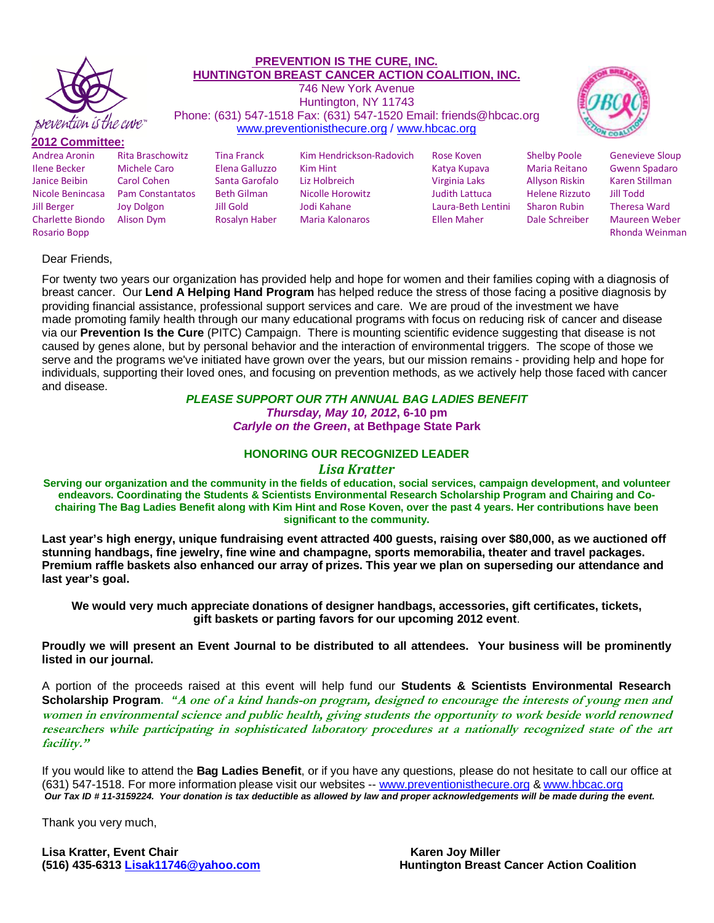

#### **PREVENTION IS THE CURE, INC. HUNTINGTON BREAST CANCER ACTION COALITION, INC.** 746 New York Avenue Huntington, NY 11743 Phone: (631) 547-1518 Fax: (631) 547-1520 Email: friends@hbcac.org [www.preventionisthecure.org](http://www.preventionisthecure.org/) / [www.hbcac.org](http://www.hbcac.org/)



### **2012 Committee:**

| ----------------        |                         |                    |                          |                       |                       |                        |
|-------------------------|-------------------------|--------------------|--------------------------|-----------------------|-----------------------|------------------------|
| Andrea Aronin           | <b>Rita Braschowitz</b> | <b>Tina Franck</b> | Kim Hendrickson-Radovich | Rose Koven            | <b>Shelby Poole</b>   | <b>Genevieve Sloup</b> |
| <b>Ilene Becker</b>     | Michele Caro            | Elena Galluzzo     | Kim Hint                 | Katya Kupaya          | Maria Reitano         | <b>Gwenn Spadaro</b>   |
| Janice Beibin           | Carol Cohen             | Santa Garofalo     | Liz Holbreich            | Virginia Laks         | Allyson Riskin        | Karen Stillman         |
| Nicole Benincasa        | <b>Pam Constantatos</b> | <b>Beth Gilman</b> | Nicolle Horowitz         | <b>Judith Lattuca</b> | <b>Helene Rizzuto</b> | Jill Todd              |
| <b>Jill Berger</b>      | Joy Dolgon              | Jill Gold          | Jodi Kahane              | Laura-Beth Lentini    | <b>Sharon Rubin</b>   | <b>Theresa Ward</b>    |
| <b>Charlette Biondo</b> | Alison Dym              | Rosalyn Haber      | <b>Maria Kalonaros</b>   | Ellen Maher           | Dale Schreiber        | <b>Maureen Weber</b>   |
| Rosario Bopp            |                         |                    |                          |                       |                       | Rhonda Weinman         |
|                         |                         |                    |                          |                       |                       |                        |

### Dear Friends,

For twenty two years our organization has provided help and hope for women and their families coping with a diagnosis of breast cancer. Our **Lend A Helping Hand Program** has helped reduce the stress of those facing a positive diagnosis by providing financial assistance, professional support services and care. We are proud of the investment we have made promoting family health through our many educational programs with focus on reducing risk of cancer and disease via our **Prevention Is the Cure** (PITC) Campaign. There is mounting scientific evidence suggesting that disease is not caused by genes alone, but by personal behavior and the interaction of environmental triggers. The scope of those we serve and the programs we've initiated have grown over the years, but our mission remains - providing help and hope for individuals, supporting their loved ones, and focusing on prevention methods, as we actively help those faced with cancer and disease.

### *PLEASE SUPPORT OUR 7TH ANNUAL BAG LADIES BENEFIT*

*Thursday, May 10, 2012***, 6-10 pm**  *Carlyle on the Green***, at Bethpage State Park** 

### **HONORING OUR RECOGNIZED LEADER**

#### *Lisa Kratter*

**Serving our organization and the community in the fields of education, social services, campaign development, and volunteer endeavors. Coordinating the Students & Scientists Environmental Research Scholarship Program and Chairing and Cochairing The Bag Ladies Benefit along with Kim Hint and Rose Koven, over the past 4 years. Her contributions have been significant to the community.** 

**Last year's high energy, unique fundraising event attracted 400 guests, raising over \$80,000, as we auctioned off stunning handbags, fine jewelry, fine wine and champagne, sports memorabilia, theater and travel packages. Premium raffle baskets also enhanced our array of prizes. This year we plan on superseding our attendance and last year's goal.** 

**We would very much appreciate donations of designer handbags, accessories, gift certificates, tickets, gift baskets or parting favors for our upcoming 2012 event**.

**Proudly we will present an Event Journal to be distributed to all attendees. Your business will be prominently listed in our journal.** 

A portion of the proceeds raised at this event will help fund our **Students & Scientists Environmental Research Scholarship Program.** *"***A one of a kind hands-on program, designed to encourage the interests of young men and women in environmental science and public health, giving students the opportunity to work beside world renowned researchers while participating in sophisticated laboratory procedures at a nationally recognized state of the art facility."** 

If you would like to attend the **Bag Ladies Benefit**, or if you have any questions, please do not hesitate to call our office at (631) 547-1518. For more information please visit our websites -- [www.preventionisthecure.org](http://www.preventionisthecure.org/) & [www.hbcac.org](http://www.hbcac.org/)  *Our Tax ID # 11-3159224. Your donation is tax deductible as allowed by law and proper acknowledgements will be made during the event.*

Thank you very much,

Lisa Kratter, Event Chair **Karen Joy Miller Karen Joy Miller Karen Joy Miller** 

**(516) 435-6313 [Lisak11746@yahoo.com Huntington Breast Cancer Action Coalition](mailto:Lisak11746@yahoo.com)**